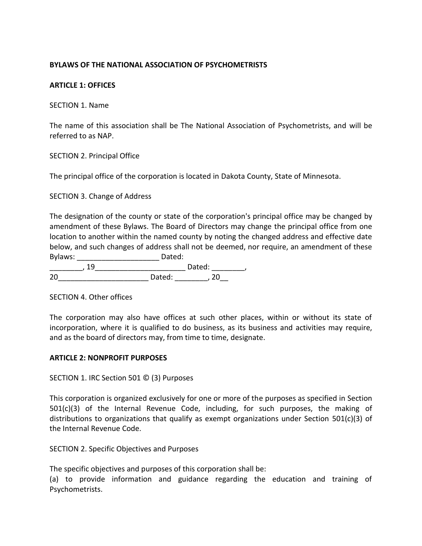### **BYLAWS OF THE NATIONAL ASSOCIATION OF PSYCHOMETRISTS**

## **ARTICLE 1: OFFICES**

SECTION 1. Name

The name of this association shall be The National Association of Psychometrists, and will be referred to as NAP.

SECTION 2. Principal Office

The principal office of the corporation is located in Dakota County, State of Minnesota.

SECTION 3. Change of Address

The designation of the county or state of the corporation's principal office may be changed by amendment of these Bylaws. The Board of Directors may change the principal office from one location to another within the named county by noting the changed address and effective date below, and such changes of address shall not be deemed, nor require, an amendment of these Bylaws: \_\_\_\_\_\_\_\_\_\_\_\_\_\_\_\_\_\_\_\_ Dated:

\_\_\_\_\_\_\_\_, 19\_\_\_\_\_\_\_\_\_\_\_\_\_\_\_\_\_\_\_\_\_\_ Dated: \_\_\_\_\_\_\_\_, 20\_\_\_\_\_\_\_\_\_\_\_\_\_\_\_\_\_\_\_\_\_\_ Dated: \_\_\_\_\_\_\_\_, 20\_\_

SECTION 4. Other offices

The corporation may also have offices at such other places, within or without its state of incorporation, where it is qualified to do business, as its business and activities may require, and as the board of directors may, from time to time, designate.

### **ARTICLE 2: NONPROFIT PURPOSES**

SECTION 1. IRC Section 501 © (3) Purposes

This corporation is organized exclusively for one or more of the purposes as specified in Section  $501(c)(3)$  of the Internal Revenue Code, including, for such purposes, the making of distributions to organizations that qualify as exempt organizations under Section 501(c)(3) of the Internal Revenue Code.

SECTION 2. Specific Objectives and Purposes

The specific objectives and purposes of this corporation shall be:

(a) to provide information and guidance regarding the education and training of Psychometrists.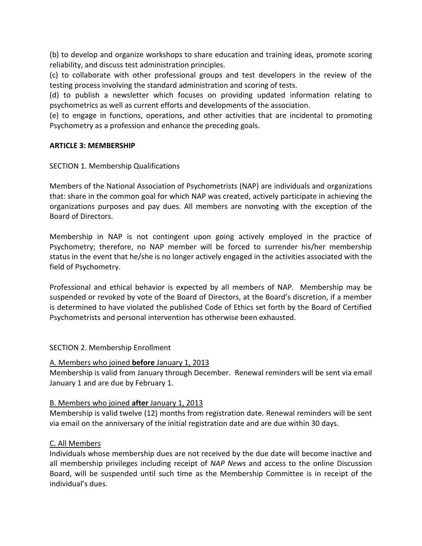(b) to develop and organize workshops to share education and training ideas, promote scoring reliability, and discuss test administration principles.

(c) to collaborate with other professional groups and test developers in the review of the testing process involving the standard administration and scoring of tests.

(d) to publish a newsletter which focuses on providing updated information relating to psychometrics as well as current efforts and developments of the association.

(e) to engage in functions, operations, and other activities that are incidental to promoting Psychometry as a profession and enhance the preceding goals.

## **ARTICLE 3: MEMBERSHIP**

## SECTION 1. Membership Qualifications

Members of the National Association of Psychometrists (NAP) are individuals and organizations that: share in the common goal for which NAP was created, actively participate in achieving the organizations purposes and pay dues. All members are nonvoting with the exception of the Board of Directors.

Membership in NAP is not contingent upon going actively employed in the practice of Psychometry; therefore, no NAP member will be forced to surrender his/her membership status in the event that he/she is no longer actively engaged in the activities associated with the field of Psychometry.

Professional and ethical behavior is expected by all members of NAP. Membership may be suspended or revoked by vote of the Board of Directors, at the Board's discretion, if a member is determined to have violated the published Code of Ethics set forth by the Board of Certified Psychometrists and personal intervention has otherwise been exhausted.

### SECTION 2. Membership Enrollment

### A. Members who joined **before** January 1, 2013

Membership is valid from January through December. Renewal reminders will be sent via email January 1 and are due by February 1.

### B. Members who joined **after** January 1, 2013

Membership is valid twelve (12) months from registration date. Renewal reminders will be sent via email on the anniversary of the initial registration date and are due within 30 days.

### C. All Members

Individuals whose membership dues are not received by the due date will become inactive and all membership privileges including receipt of *NAP News* and access to the online Discussion Board, will be suspended until such time as the Membership Committee is in receipt of the individual's dues.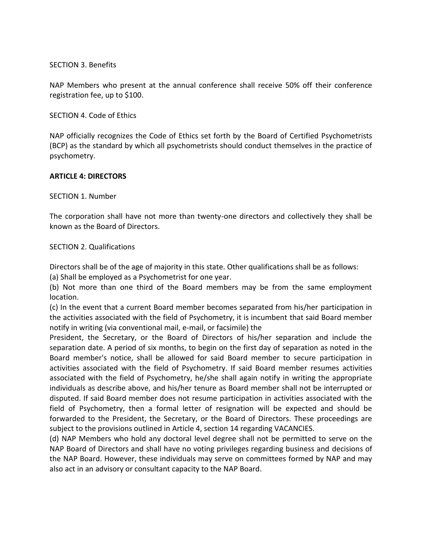SECTION 3. Benefits

NAP Members who present at the annual conference shall receive 50% off their conference registration fee, up to \$100.

SECTION 4. Code of Ethics

NAP officially recognizes the Code of Ethics set forth by the Board of Certified Psychometrists (BCP) as the standard by which all psychometrists should conduct themselves in the practice of psychometry.

#### **ARTICLE 4: DIRECTORS**

SECTION 1. Number

The corporation shall have not more than twenty-one directors and collectively they shall be known as the Board of Directors.

SECTION 2. Qualifications

Directors shall be of the age of majority in this state. Other qualifications shall be as follows:

(a) Shall be employed as a Psychometrist for one year.

(b) Not more than one third of the Board members may be from the same employment location.

(c) In the event that a current Board member becomes separated from his/her participation in the activities associated with the field of Psychometry, it is incumbent that said Board member notify in writing (via conventional mail, e-mail, or facsimile) the

President, the Secretary, or the Board of Directors of his/her separation and include the separation date. A period of six months, to begin on the first day of separation as noted in the Board member's notice, shall be allowed for said Board member to secure participation in activities associated with the field of Psychometry. If said Board member resumes activities associated with the field of Psychometry, he/she shall again notify in writing the appropriate individuals as describe above, and his/her tenure as Board member shall not be interrupted or disputed. If said Board member does not resume participation in activities associated with the field of Psychometry, then a formal letter of resignation will be expected and should be forwarded to the President, the Secretary, or the Board of Directors. These proceedings are subject to the provisions outlined in Article 4, section 14 regarding VACANCIES.

(d) NAP Members who hold any doctoral level degree shall not be permitted to serve on the NAP Board of Directors and shall have no voting privileges regarding business and decisions of the NAP Board. However, these individuals may serve on committees formed by NAP and may also act in an advisory or consultant capacity to the NAP Board.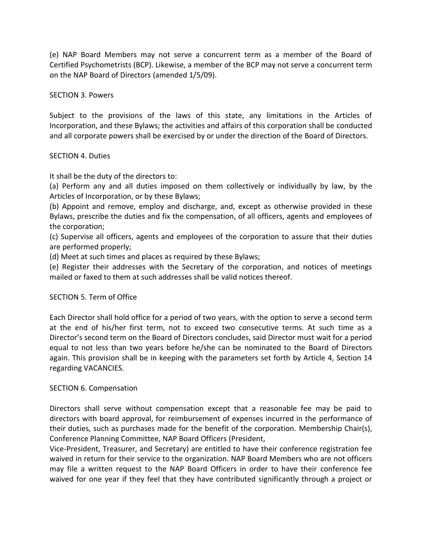(e) NAP Board Members may not serve a concurrent term as a member of the Board of Certified Psychometrists (BCP). Likewise, a member of the BCP may not serve a concurrent term on the NAP Board of Directors (amended 1/5/09).

### SECTION 3. Powers

Subject to the provisions of the laws of this state, any limitations in the Articles of Incorporation, and these Bylaws; the activities and affairs of this corporation shall be conducted and all corporate powers shall be exercised by or under the direction of the Board of Directors.

## SECTION 4. Duties

It shall be the duty of the directors to:

(a) Perform any and all duties imposed on them collectively or individually by law, by the Articles of Incorporation, or by these Bylaws;

(b) Appoint and remove, employ and discharge, and, except as otherwise provided in these Bylaws, prescribe the duties and fix the compensation, of all officers, agents and employees of the corporation;

(c) Supervise all officers, agents and employees of the corporation to assure that their duties are performed properly;

(d) Meet at such times and places as required by these Bylaws;

(e) Register their addresses with the Secretary of the corporation, and notices of meetings mailed or faxed to them at such addresses shall be valid notices thereof.

# SECTION 5. Term of Office

Each Director shall hold office for a period of two years, with the option to serve a second term at the end of his/her first term, not to exceed two consecutive terms. At such time as a Director's second term on the Board of Directors concludes, said Director must wait for a period equal to not less than two years before he/she can be nominated to the Board of Directors again. This provision shall be in keeping with the parameters set forth by Article 4, Section 14 regarding VACANCIES.

# SECTION 6. Compensation

Directors shall serve without compensation except that a reasonable fee may be paid to directors with board approval, for reimbursement of expenses incurred in the performance of their duties, such as purchases made for the benefit of the corporation. Membership Chair(s), Conference Planning Committee, NAP Board Officers (President,

Vice-President, Treasurer, and Secretary) are entitled to have their conference registration fee waived in return for their service to the organization. NAP Board Members who are not officers may file a written request to the NAP Board Officers in order to have their conference fee waived for one year if they feel that they have contributed significantly through a project or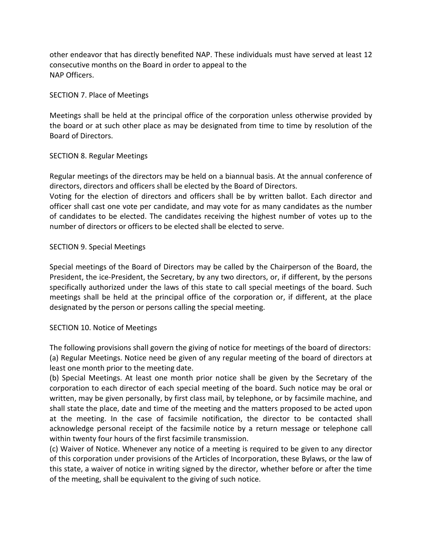other endeavor that has directly benefited NAP. These individuals must have served at least 12 consecutive months on the Board in order to appeal to the NAP Officers.

### SECTION 7. Place of Meetings

Meetings shall be held at the principal office of the corporation unless otherwise provided by the board or at such other place as may be designated from time to time by resolution of the Board of Directors.

## SECTION 8. Regular Meetings

Regular meetings of the directors may be held on a biannual basis. At the annual conference of directors, directors and officers shall be elected by the Board of Directors.

Voting for the election of directors and officers shall be by written ballot. Each director and officer shall cast one vote per candidate, and may vote for as many candidates as the number of candidates to be elected. The candidates receiving the highest number of votes up to the number of directors or officers to be elected shall be elected to serve.

## SECTION 9. Special Meetings

Special meetings of the Board of Directors may be called by the Chairperson of the Board, the President, the ice-President, the Secretary, by any two directors, or, if different, by the persons specifically authorized under the laws of this state to call special meetings of the board. Such meetings shall be held at the principal office of the corporation or, if different, at the place designated by the person or persons calling the special meeting.

### SECTION 10. Notice of Meetings

The following provisions shall govern the giving of notice for meetings of the board of directors: (a) Regular Meetings. Notice need be given of any regular meeting of the board of directors at least one month prior to the meeting date.

(b) Special Meetings. At least one month prior notice shall be given by the Secretary of the corporation to each director of each special meeting of the board. Such notice may be oral or written, may be given personally, by first class mail, by telephone, or by facsimile machine, and shall state the place, date and time of the meeting and the matters proposed to be acted upon at the meeting. In the case of facsimile notification, the director to be contacted shall acknowledge personal receipt of the facsimile notice by a return message or telephone call within twenty four hours of the first facsimile transmission.

(c) Waiver of Notice. Whenever any notice of a meeting is required to be given to any director of this corporation under provisions of the Articles of Incorporation, these Bylaws, or the law of this state, a waiver of notice in writing signed by the director, whether before or after the time of the meeting, shall be equivalent to the giving of such notice.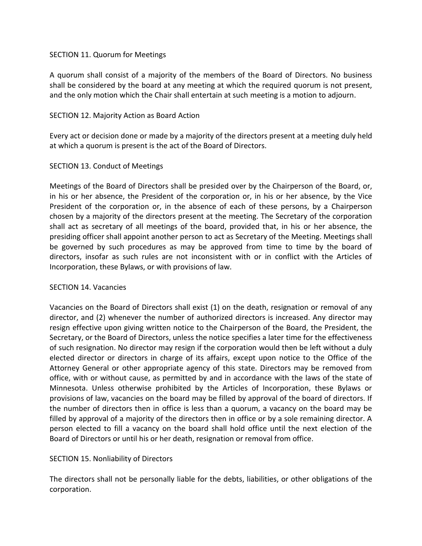### SECTION 11. Quorum for Meetings

A quorum shall consist of a majority of the members of the Board of Directors. No business shall be considered by the board at any meeting at which the required quorum is not present, and the only motion which the Chair shall entertain at such meeting is a motion to adjourn.

#### SECTION 12. Majority Action as Board Action

Every act or decision done or made by a majority of the directors present at a meeting duly held at which a quorum is present is the act of the Board of Directors.

### SECTION 13. Conduct of Meetings

Meetings of the Board of Directors shall be presided over by the Chairperson of the Board, or, in his or her absence, the President of the corporation or, in his or her absence, by the Vice President of the corporation or, in the absence of each of these persons, by a Chairperson chosen by a majority of the directors present at the meeting. The Secretary of the corporation shall act as secretary of all meetings of the board, provided that, in his or her absence, the presiding officer shall appoint another person to act as Secretary of the Meeting. Meetings shall be governed by such procedures as may be approved from time to time by the board of directors, insofar as such rules are not inconsistent with or in conflict with the Articles of Incorporation, these Bylaws, or with provisions of law.

### SECTION 14. Vacancies

Vacancies on the Board of Directors shall exist (1) on the death, resignation or removal of any director, and (2) whenever the number of authorized directors is increased. Any director may resign effective upon giving written notice to the Chairperson of the Board, the President, the Secretary, or the Board of Directors, unless the notice specifies a later time for the effectiveness of such resignation. No director may resign if the corporation would then be left without a duly elected director or directors in charge of its affairs, except upon notice to the Office of the Attorney General or other appropriate agency of this state. Directors may be removed from office, with or without cause, as permitted by and in accordance with the laws of the state of Minnesota. Unless otherwise prohibited by the Articles of Incorporation, these Bylaws or provisions of law, vacancies on the board may be filled by approval of the board of directors. If the number of directors then in office is less than a quorum, a vacancy on the board may be filled by approval of a majority of the directors then in office or by a sole remaining director. A person elected to fill a vacancy on the board shall hold office until the next election of the Board of Directors or until his or her death, resignation or removal from office.

### SECTION 15. Nonliability of Directors

The directors shall not be personally liable for the debts, liabilities, or other obligations of the corporation.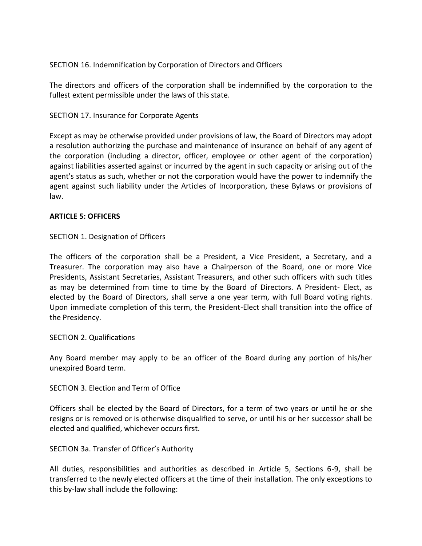SECTION 16. Indemnification by Corporation of Directors and Officers

The directors and officers of the corporation shall be indemnified by the corporation to the fullest extent permissible under the laws of this state.

## SECTION 17. Insurance for Corporate Agents

Except as may be otherwise provided under provisions of law, the Board of Directors may adopt a resolution authorizing the purchase and maintenance of insurance on behalf of any agent of the corporation (including a director, officer, employee or other agent of the corporation) against liabilities asserted against or incurred by the agent in such capacity or arising out of the agent's status as such, whether or not the corporation would have the power to indemnify the agent against such liability under the Articles of Incorporation, these Bylaws or provisions of law.

## **ARTICLE 5: OFFICERS**

# SECTION 1. Designation of Officers

The officers of the corporation shall be a President, a Vice President, a Secretary, and a Treasurer. The corporation may also have a Chairperson of the Board, one or more Vice Presidents, Assistant Secretaries, Assistant Treasurers, and other such officers with such titles as may be determined from time to time by the Board of Directors. A President- Elect, as elected by the Board of Directors, shall serve a one year term, with full Board voting rights. Upon immediate completion of this term, the President-Elect shall transition into the office of the Presidency.

### SECTION 2. Qualifications

Any Board member may apply to be an officer of the Board during any portion of his/her unexpired Board term.

### SECTION 3. Election and Term of Office

Officers shall be elected by the Board of Directors, for a term of two years or until he or she resigns or is removed or is otherwise disqualified to serve, or until his or her successor shall be elected and qualified, whichever occurs first.

### SECTION 3a. Transfer of Officer's Authority

All duties, responsibilities and authorities as described in Article 5, Sections 6-9, shall be transferred to the newly elected officers at the time of their installation. The only exceptions to this by-law shall include the following: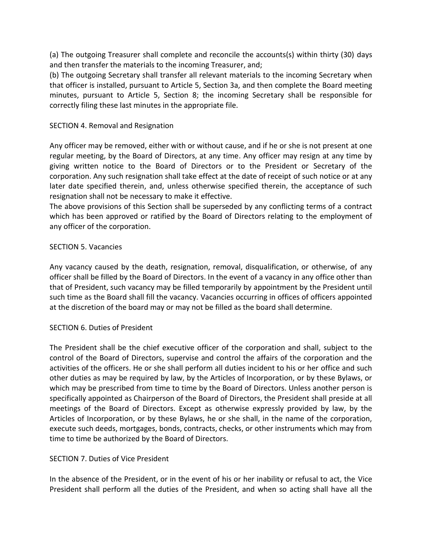(a) The outgoing Treasurer shall complete and reconcile the accounts(s) within thirty (30) days and then transfer the materials to the incoming Treasurer, and;

(b) The outgoing Secretary shall transfer all relevant materials to the incoming Secretary when that officer is installed, pursuant to Article 5, Section 3a, and then complete the Board meeting minutes, pursuant to Article 5, Section 8; the incoming Secretary shall be responsible for correctly filing these last minutes in the appropriate file.

## SECTION 4. Removal and Resignation

Any officer may be removed, either with or without cause, and if he or she is not present at one regular meeting, by the Board of Directors, at any time. Any officer may resign at any time by giving written notice to the Board of Directors or to the President or Secretary of the corporation. Any such resignation shall take effect at the date of receipt of such notice or at any later date specified therein, and, unless otherwise specified therein, the acceptance of such resignation shall not be necessary to make it effective.

The above provisions of this Section shall be superseded by any conflicting terms of a contract which has been approved or ratified by the Board of Directors relating to the employment of any officer of the corporation.

## SECTION 5. Vacancies

Any vacancy caused by the death, resignation, removal, disqualification, or otherwise, of any officer shall be filled by the Board of Directors. In the event of a vacancy in any office other than that of President, such vacancy may be filled temporarily by appointment by the President until such time as the Board shall fill the vacancy. Vacancies occurring in offices of officers appointed at the discretion of the board may or may not be filled as the board shall determine.

### SECTION 6. Duties of President

The President shall be the chief executive officer of the corporation and shall, subject to the control of the Board of Directors, supervise and control the affairs of the corporation and the activities of the officers. He or she shall perform all duties incident to his or her office and such other duties as may be required by law, by the Articles of Incorporation, or by these Bylaws, or which may be prescribed from time to time by the Board of Directors. Unless another person is specifically appointed as Chairperson of the Board of Directors, the President shall preside at all meetings of the Board of Directors. Except as otherwise expressly provided by law, by the Articles of Incorporation, or by these Bylaws, he or she shall, in the name of the corporation, execute such deeds, mortgages, bonds, contracts, checks, or other instruments which may from time to time be authorized by the Board of Directors.

### SECTION 7. Duties of Vice President

In the absence of the President, or in the event of his or her inability or refusal to act, the Vice President shall perform all the duties of the President, and when so acting shall have all the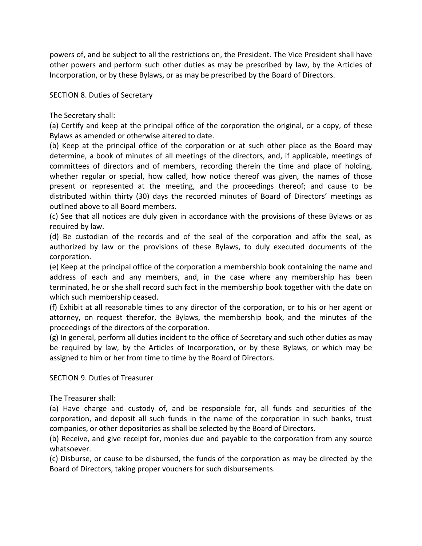powers of, and be subject to all the restrictions on, the President. The Vice President shall have other powers and perform such other duties as may be prescribed by law, by the Articles of Incorporation, or by these Bylaws, or as may be prescribed by the Board of Directors.

## SECTION 8. Duties of Secretary

The Secretary shall:

(a) Certify and keep at the principal office of the corporation the original, or a copy, of these Bylaws as amended or otherwise altered to date.

(b) Keep at the principal office of the corporation or at such other place as the Board may determine, a book of minutes of all meetings of the directors, and, if applicable, meetings of committees of directors and of members, recording therein the time and place of holding, whether regular or special, how called, how notice thereof was given, the names of those present or represented at the meeting, and the proceedings thereof; and cause to be distributed within thirty (30) days the recorded minutes of Board of Directors' meetings as outlined above to all Board members.

(c) See that all notices are duly given in accordance with the provisions of these Bylaws or as required by law.

(d) Be custodian of the records and of the seal of the corporation and affix the seal, as authorized by law or the provisions of these Bylaws, to duly executed documents of the corporation.

(e) Keep at the principal office of the corporation a membership book containing the name and address of each and any members, and, in the case where any membership has been terminated, he or she shall record such fact in the membership book together with the date on which such membership ceased.

(f) Exhibit at all reasonable times to any director of the corporation, or to his or her agent or attorney, on request therefor, the Bylaws, the membership book, and the minutes of the proceedings of the directors of the corporation.

(g) In general, perform all duties incident to the office of Secretary and such other duties as may be required by law, by the Articles of Incorporation, or by these Bylaws, or which may be assigned to him or her from time to time by the Board of Directors.

SECTION 9. Duties of Treasurer

The Treasurer shall:

(a) Have charge and custody of, and be responsible for, all funds and securities of the corporation, and deposit all such funds in the name of the corporation in such banks, trust companies, or other depositories as shall be selected by the Board of Directors.

(b) Receive, and give receipt for, monies due and payable to the corporation from any source whatsoever.

(c) Disburse, or cause to be disbursed, the funds of the corporation as may be directed by the Board of Directors, taking proper vouchers for such disbursements.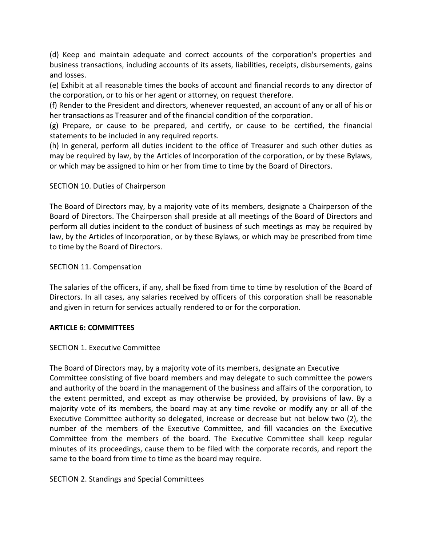(d) Keep and maintain adequate and correct accounts of the corporation's properties and business transactions, including accounts of its assets, liabilities, receipts, disbursements, gains and losses.

(e) Exhibit at all reasonable times the books of account and financial records to any director of the corporation, or to his or her agent or attorney, on request therefore.

(f) Render to the President and directors, whenever requested, an account of any or all of his or her transactions as Treasurer and of the financial condition of the corporation.

(g) Prepare, or cause to be prepared, and certify, or cause to be certified, the financial statements to be included in any required reports.

(h) In general, perform all duties incident to the office of Treasurer and such other duties as may be required by law, by the Articles of Incorporation of the corporation, or by these Bylaws, or which may be assigned to him or her from time to time by the Board of Directors.

# SECTION 10. Duties of Chairperson

The Board of Directors may, by a majority vote of its members, designate a Chairperson of the Board of Directors. The Chairperson shall preside at all meetings of the Board of Directors and perform all duties incident to the conduct of business of such meetings as may be required by law, by the Articles of Incorporation, or by these Bylaws, or which may be prescribed from time to time by the Board of Directors.

# SECTION 11. Compensation

The salaries of the officers, if any, shall be fixed from time to time by resolution of the Board of Directors. In all cases, any salaries received by officers of this corporation shall be reasonable and given in return for services actually rendered to or for the corporation.

# **ARTICLE 6: COMMITTEES**

# SECTION 1. Executive Committee

The Board of Directors may, by a majority vote of its members, designate an Executive Committee consisting of five board members and may delegate to such committee the powers and authority of the board in the management of the business and affairs of the corporation, to the extent permitted, and except as may otherwise be provided, by provisions of law. By a majority vote of its members, the board may at any time revoke or modify any or all of the Executive Committee authority so delegated, increase or decrease but not below two (2), the number of the members of the Executive Committee, and fill vacancies on the Executive Committee from the members of the board. The Executive Committee shall keep regular minutes of its proceedings, cause them to be filed with the corporate records, and report the same to the board from time to time as the board may require.

# SECTION 2. Standings and Special Committees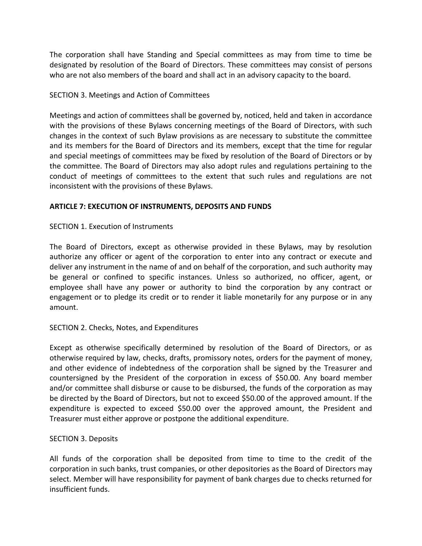The corporation shall have Standing and Special committees as may from time to time be designated by resolution of the Board of Directors. These committees may consist of persons who are not also members of the board and shall act in an advisory capacity to the board.

## SECTION 3. Meetings and Action of Committees

Meetings and action of committees shall be governed by, noticed, held and taken in accordance with the provisions of these Bylaws concerning meetings of the Board of Directors, with such changes in the context of such Bylaw provisions as are necessary to substitute the committee and its members for the Board of Directors and its members, except that the time for regular and special meetings of committees may be fixed by resolution of the Board of Directors or by the committee. The Board of Directors may also adopt rules and regulations pertaining to the conduct of meetings of committees to the extent that such rules and regulations are not inconsistent with the provisions of these Bylaws.

## **ARTICLE 7: EXECUTION OF INSTRUMENTS, DEPOSITS AND FUNDS**

### SECTION 1. Execution of Instruments

The Board of Directors, except as otherwise provided in these Bylaws, may by resolution authorize any officer or agent of the corporation to enter into any contract or execute and deliver any instrument in the name of and on behalf of the corporation, and such authority may be general or confined to specific instances. Unless so authorized, no officer, agent, or employee shall have any power or authority to bind the corporation by any contract or engagement or to pledge its credit or to render it liable monetarily for any purpose or in any amount.

### SECTION 2. Checks, Notes, and Expenditures

Except as otherwise specifically determined by resolution of the Board of Directors, or as otherwise required by law, checks, drafts, promissory notes, orders for the payment of money, and other evidence of indebtedness of the corporation shall be signed by the Treasurer and countersigned by the President of the corporation in excess of \$50.00. Any board member and/or committee shall disburse or cause to be disbursed, the funds of the corporation as may be directed by the Board of Directors, but not to exceed \$50.00 of the approved amount. If the expenditure is expected to exceed \$50.00 over the approved amount, the President and Treasurer must either approve or postpone the additional expenditure.

### SECTION 3. Deposits

All funds of the corporation shall be deposited from time to time to the credit of the corporation in such banks, trust companies, or other depositories as the Board of Directors may select. Member will have responsibility for payment of bank charges due to checks returned for insufficient funds.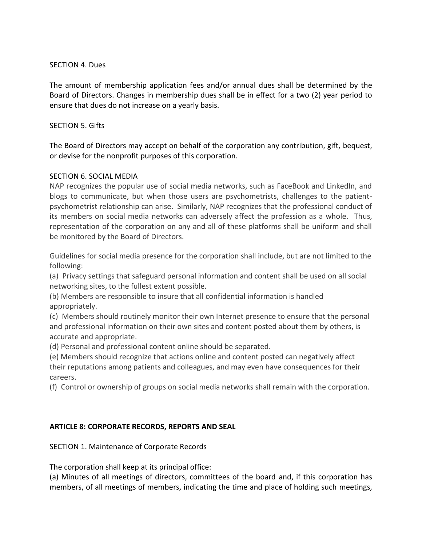### SECTION 4. Dues

The amount of membership application fees and/or annual dues shall be determined by the Board of Directors. Changes in membership dues shall be in effect for a two (2) year period to ensure that dues do not increase on a yearly basis.

# SECTION 5. Gifts

The Board of Directors may accept on behalf of the corporation any contribution, gift, bequest, or devise for the nonprofit purposes of this corporation.

# SECTION 6. SOCIAL MEDIA

NAP recognizes the popular use of social media networks, such as FaceBook and LinkedIn, and blogs to communicate, but when those users are psychometrists, challenges to the patientpsychometrist relationship can arise. Similarly, NAP recognizes that the professional conduct of its members on social media networks can adversely affect the profession as a whole. Thus, representation of the corporation on any and all of these platforms shall be uniform and shall be monitored by the Board of Directors.

Guidelines for social media presence for the corporation shall include, but are not limited to the following:

(a) Privacy settings that safeguard personal information and content shall be used on all social networking sites, to the fullest extent possible.

(b) Members are responsible to insure that all confidential information is handled appropriately.

(c) Members should routinely monitor their own Internet presence to ensure that the personal and professional information on their own sites and content posted about them by others, is accurate and appropriate.

(d) Personal and professional content online should be separated.

(e) Members should recognize that actions online and content posted can negatively affect their reputations among patients and colleagues, and may even have consequences for their careers.

(f) Control or ownership of groups on social media networks shall remain with the corporation.

# **ARTICLE 8: CORPORATE RECORDS, REPORTS AND SEAL**

SECTION 1. Maintenance of Corporate Records

The corporation shall keep at its principal office:

(a) Minutes of all meetings of directors, committees of the board and, if this corporation has members, of all meetings of members, indicating the time and place of holding such meetings,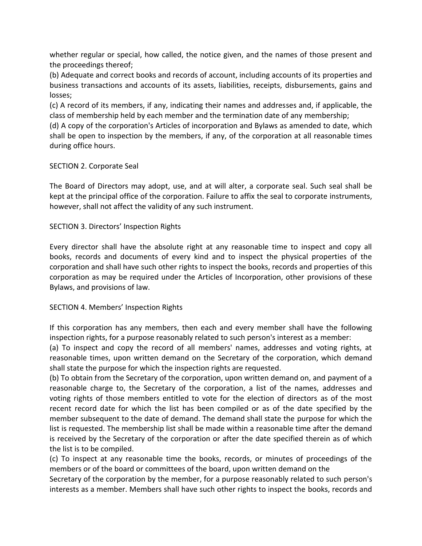whether regular or special, how called, the notice given, and the names of those present and the proceedings thereof;

(b) Adequate and correct books and records of account, including accounts of its properties and business transactions and accounts of its assets, liabilities, receipts, disbursements, gains and losses;

(c) A record of its members, if any, indicating their names and addresses and, if applicable, the class of membership held by each member and the termination date of any membership;

(d) A copy of the corporation's Articles of incorporation and Bylaws as amended to date, which shall be open to inspection by the members, if any, of the corporation at all reasonable times during office hours.

## SECTION 2. Corporate Seal

The Board of Directors may adopt, use, and at will alter, a corporate seal. Such seal shall be kept at the principal office of the corporation. Failure to affix the seal to corporate instruments, however, shall not affect the validity of any such instrument.

## SECTION 3. Directors' Inspection Rights

Every director shall have the absolute right at any reasonable time to inspect and copy all books, records and documents of every kind and to inspect the physical properties of the corporation and shall have such other rights to inspect the books, records and properties of this corporation as may be required under the Articles of Incorporation, other provisions of these Bylaws, and provisions of law.

# SECTION 4. Members' Inspection Rights

If this corporation has any members, then each and every member shall have the following inspection rights, for a purpose reasonably related to such person's interest as a member:

(a) To inspect and copy the record of all members' names, addresses and voting rights, at reasonable times, upon written demand on the Secretary of the corporation, which demand shall state the purpose for which the inspection rights are requested.

(b) To obtain from the Secretary of the corporation, upon written demand on, and payment of a reasonable charge to, the Secretary of the corporation, a list of the names, addresses and voting rights of those members entitled to vote for the election of directors as of the most recent record date for which the list has been compiled or as of the date specified by the member subsequent to the date of demand. The demand shall state the purpose for which the list is requested. The membership list shall be made within a reasonable time after the demand is received by the Secretary of the corporation or after the date specified therein as of which the list is to be compiled.

(c) To inspect at any reasonable time the books, records, or minutes of proceedings of the members or of the board or committees of the board, upon written demand on the

Secretary of the corporation by the member, for a purpose reasonably related to such person's interests as a member. Members shall have such other rights to inspect the books, records and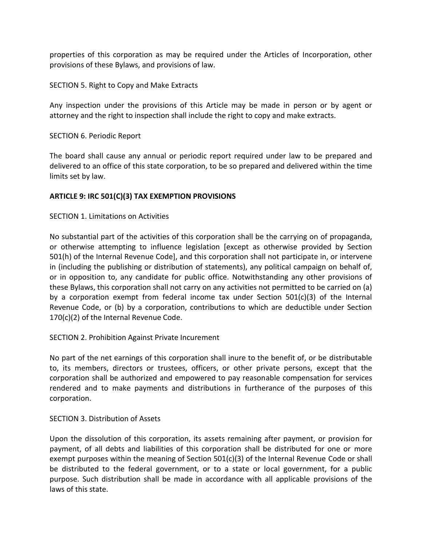properties of this corporation as may be required under the Articles of Incorporation, other provisions of these Bylaws, and provisions of law.

### SECTION 5. Right to Copy and Make Extracts

Any inspection under the provisions of this Article may be made in person or by agent or attorney and the right to inspection shall include the right to copy and make extracts.

### SECTION 6. Periodic Report

The board shall cause any annual or periodic report required under law to be prepared and delivered to an office of this state corporation, to be so prepared and delivered within the time limits set by law.

### **ARTICLE 9: IRC 501(C)(3) TAX EXEMPTION PROVISIONS**

### SECTION 1. Limitations on Activities

No substantial part of the activities of this corporation shall be the carrying on of propaganda, or otherwise attempting to influence legislation [except as otherwise provided by Section 501(h) of the Internal Revenue Code], and this corporation shall not participate in, or intervene in (including the publishing or distribution of statements), any political campaign on behalf of, or in opposition to, any candidate for public office. Notwithstanding any other provisions of these Bylaws, this corporation shall not carry on any activities not permitted to be carried on (a) by a corporation exempt from federal income tax under Section 501(c)(3) of the Internal Revenue Code, or (b) by a corporation, contributions to which are deductible under Section 170(c)(2) of the Internal Revenue Code.

### SECTION 2. Prohibition Against Private Incurement

No part of the net earnings of this corporation shall inure to the benefit of, or be distributable to, its members, directors or trustees, officers, or other private persons, except that the corporation shall be authorized and empowered to pay reasonable compensation for services rendered and to make payments and distributions in furtherance of the purposes of this corporation.

### SECTION 3. Distribution of Assets

Upon the dissolution of this corporation, its assets remaining after payment, or provision for payment, of all debts and liabilities of this corporation shall be distributed for one or more exempt purposes within the meaning of Section 501(c)(3) of the Internal Revenue Code or shall be distributed to the federal government, or to a state or local government, for a public purpose. Such distribution shall be made in accordance with all applicable provisions of the laws of this state.